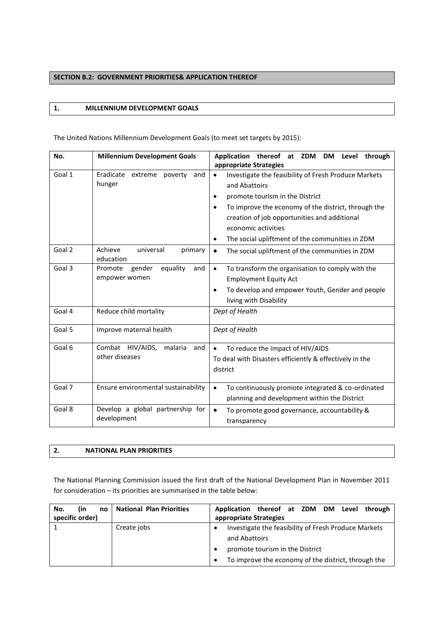# **SECTION B.2: GOVERNMENT PRIORITIES& APPLICATION THEREOF**

### **1. MILLENNIUM DEVELOPMENT GOALS**

The United Nations Millennium Development Goals (to meet set targets by 2015):

| No.    | <b>Millennium Development Goals</b>              | Application thereof at ZDM DM Level<br>through                                     |
|--------|--------------------------------------------------|------------------------------------------------------------------------------------|
|        |                                                  | appropriate Strategies                                                             |
| Goal 1 | Eradicate<br>extreme<br>and<br>poverty<br>hunger | Investigate the feasibility of Fresh Produce Markets<br>$\bullet$<br>and Abattoirs |
|        |                                                  | promote tourism in the District                                                    |
|        |                                                  | To improve the economy of the district, through the<br>$\bullet$                   |
|        |                                                  | creation of job opportunities and additional                                       |
|        |                                                  | economic activities                                                                |
|        |                                                  | The social upliftment of the communities in ZDM<br>$\bullet$                       |
| Goal 2 | Achieve<br>universal<br>primary<br>education     | The social upliftment of the communities in ZDM<br>$\bullet$                       |
| Goal 3 | gender<br>equality<br>Promote<br>and             | To transform the organisation to comply with the<br>$\bullet$                      |
|        | empower women                                    | <b>Employment Equity Act</b>                                                       |
|        |                                                  | To develop and empower Youth, Gender and people<br>$\bullet$                       |
|        |                                                  | living with Disability                                                             |
| Goal 4 | Reduce child mortality                           | Dept of Health                                                                     |
| Goal 5 | Improve maternal health                          | Dept of Health                                                                     |
| Goal 6 | Combat HIV/AIDS,<br>malaria<br>and               | To reduce the impact of HIV/AIDS<br>$\bullet$                                      |
|        | other diseases                                   | To deal with Disasters efficiently & effectively in the                            |
|        |                                                  | district                                                                           |
| Goal 7 | Ensure environmental sustainability              | To continuously promote integrated & co-ordinated<br>$\bullet$                     |
|        |                                                  | planning and development within the District                                       |
| Goal 8 | Develop a global partnership for<br>development  | To promote good governance, accountability &<br>$\bullet$                          |
|        |                                                  | transparency                                                                       |

# **2. NATIONAL PLAN PRIORITIES**

The National Planning Commission issued the first draft of the National Development Plan in November 2011 for consideration – its priorities are summarised in the table below:

| (in<br>No.<br>no | <b>National Plan Priorities</b> | Application thereof at ZDM DM Level through                                                                                                                                  |
|------------------|---------------------------------|------------------------------------------------------------------------------------------------------------------------------------------------------------------------------|
| specific order)  |                                 | appropriate Strategies                                                                                                                                                       |
|                  | Create jobs                     | Investigate the feasibility of Fresh Produce Markets<br>$\bullet$<br>and Abattoirs<br>promote tourism in the District<br>To improve the economy of the district, through the |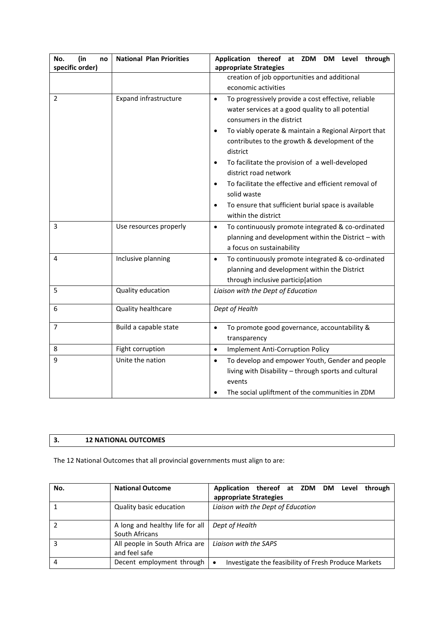| No.<br>(in<br>no | <b>National Plan Priorities</b> | Application thereof at ZDM DM Level through                                                                                                                                                                                                                                                                                                                                                                                                                                                                                                                   |
|------------------|---------------------------------|---------------------------------------------------------------------------------------------------------------------------------------------------------------------------------------------------------------------------------------------------------------------------------------------------------------------------------------------------------------------------------------------------------------------------------------------------------------------------------------------------------------------------------------------------------------|
| specific order)  |                                 | appropriate Strategies                                                                                                                                                                                                                                                                                                                                                                                                                                                                                                                                        |
|                  |                                 | creation of job opportunities and additional                                                                                                                                                                                                                                                                                                                                                                                                                                                                                                                  |
|                  |                                 | economic activities                                                                                                                                                                                                                                                                                                                                                                                                                                                                                                                                           |
| 2                | <b>Expand infrastructure</b>    | To progressively provide a cost effective, reliable<br>$\bullet$<br>water services at a good quality to all potential<br>consumers in the district<br>To viably operate & maintain a Regional Airport that<br>$\bullet$<br>contributes to the growth & development of the<br>district<br>To facilitate the provision of a well-developed<br>$\bullet$<br>district road network<br>To facilitate the effective and efficient removal of<br>$\bullet$<br>solid waste<br>To ensure that sufficient burial space is available<br>$\bullet$<br>within the district |
| 3                | Use resources properly          | To continuously promote integrated & co-ordinated<br>$\bullet$<br>planning and development within the District - with<br>a focus on sustainability                                                                                                                                                                                                                                                                                                                                                                                                            |
| 4                | Inclusive planning              | To continuously promote integrated & co-ordinated<br>$\bullet$<br>planning and development within the District<br>through inclusive particip[ation                                                                                                                                                                                                                                                                                                                                                                                                            |
| 5                | Quality education               | Liaison with the Dept of Education                                                                                                                                                                                                                                                                                                                                                                                                                                                                                                                            |
| 6                | Quality healthcare              | Dept of Health                                                                                                                                                                                                                                                                                                                                                                                                                                                                                                                                                |
| 7                | Build a capable state           | To promote good governance, accountability &<br>$\bullet$<br>transparency                                                                                                                                                                                                                                                                                                                                                                                                                                                                                     |
| 8                | Fight corruption                | Implement Anti-Corruption Policy<br>$\bullet$                                                                                                                                                                                                                                                                                                                                                                                                                                                                                                                 |
| 9                | Unite the nation                | To develop and empower Youth, Gender and people<br>$\bullet$<br>living with Disability - through sports and cultural<br>events<br>The social upliftment of the communities in ZDM                                                                                                                                                                                                                                                                                                                                                                             |

# **3. 12 NATIONAL OUTCOMES**

The 12 National Outcomes that all provincial governments must align to are:

| No. | <b>National Outcome</b>                           | Application thereof at ZDM DM Level<br>through<br>appropriate Strategies |
|-----|---------------------------------------------------|--------------------------------------------------------------------------|
|     | Quality basic education                           | Liaison with the Dept of Education                                       |
|     | A long and healthy life for all<br>South Africans | Dept of Health                                                           |
| 3   | All people in South Africa are<br>and feel safe   | Ligison with the SAPS                                                    |
| 4   | Decent employment through                         | Investigate the feasibility of Fresh Produce Markets<br>$\bullet$        |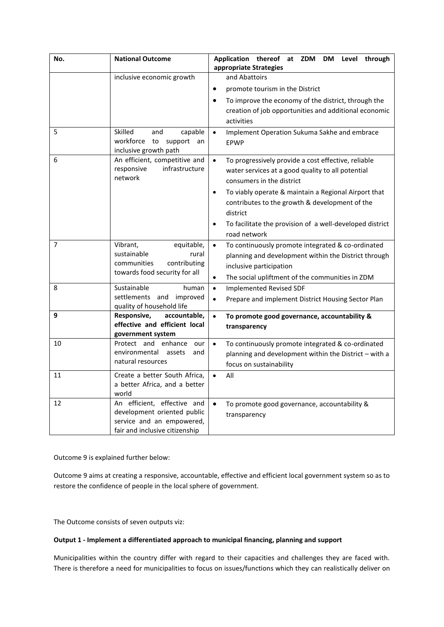| No. | <b>National Outcome</b>                                                                                                   | Application thereof at ZDM DM<br>Level<br>through<br>appropriate Strategies                                                                                                                                                                                                                                                                                                    |
|-----|---------------------------------------------------------------------------------------------------------------------------|--------------------------------------------------------------------------------------------------------------------------------------------------------------------------------------------------------------------------------------------------------------------------------------------------------------------------------------------------------------------------------|
|     | inclusive economic growth                                                                                                 | and Abattoirs                                                                                                                                                                                                                                                                                                                                                                  |
|     |                                                                                                                           | promote tourism in the District                                                                                                                                                                                                                                                                                                                                                |
|     |                                                                                                                           | To improve the economy of the district, through the<br>$\bullet$<br>creation of job opportunities and additional economic<br>activities                                                                                                                                                                                                                                        |
| 5   | Skilled<br>capable<br>and<br>workforce<br>support an<br>to<br>inclusive growth path                                       | $\bullet$<br>Implement Operation Sukuma Sakhe and embrace<br><b>EPWP</b>                                                                                                                                                                                                                                                                                                       |
| 6   | An efficient, competitive and<br>infrastructure<br>responsive<br>network                                                  | To progressively provide a cost effective, reliable<br>$\bullet$<br>water services at a good quality to all potential<br>consumers in the district<br>To viably operate & maintain a Regional Airport that<br>$\bullet$<br>contributes to the growth & development of the<br>district<br>To facilitate the provision of a well-developed district<br>$\bullet$<br>road network |
| 7   | Vibrant,<br>equitable,<br>sustainable<br>rural<br>communities<br>contributing<br>towards food security for all            | To continuously promote integrated & co-ordinated<br>$\bullet$<br>planning and development within the District through<br>inclusive participation<br>The social upliftment of the communities in ZDM<br>$\bullet$                                                                                                                                                              |
| 8   | Sustainable<br>human<br>settlements and improved<br>quality of household life                                             | <b>Implemented Revised SDF</b><br>$\bullet$<br>Prepare and implement District Housing Sector Plan<br>$\bullet$                                                                                                                                                                                                                                                                 |
| 9   | Responsive,<br>accountable,<br>effective and efficient local<br>government system                                         | $\bullet$<br>To promote good governance, accountability &<br>transparency                                                                                                                                                                                                                                                                                                      |
| 10  | Protect and enhance<br>our<br>environmental assets<br>and<br>natural resources                                            | To continuously promote integrated & co-ordinated<br>$\bullet$<br>planning and development within the District - with a<br>focus on sustainability                                                                                                                                                                                                                             |
| 11  | Create a better South Africa,<br>a better Africa, and a better<br>world                                                   | All<br>$\bullet$                                                                                                                                                                                                                                                                                                                                                               |
| 12  | An efficient, effective and<br>development oriented public<br>service and an empowered,<br>fair and inclusive citizenship | $\bullet$<br>To promote good governance, accountability &<br>transparency                                                                                                                                                                                                                                                                                                      |

Outcome 9 is explained further below:

Outcome 9 aims at creating a responsive, accountable, effective and efficient local government system so as to restore the confidence of people in the local sphere of government.

The Outcome consists of seven outputs viz:

#### **Output 1 - Implement a differentiated approach to municipal financing, planning and support**

Municipalities within the country differ with regard to their capacities and challenges they are faced with. There is therefore a need for municipalities to focus on issues/functions which they can realistically deliver on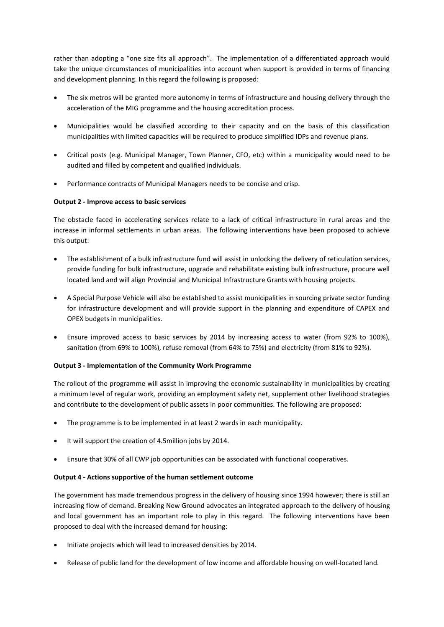rather than adopting a "one size fits all approach". The implementation of a differentiated approach would take the unique circumstances of municipalities into account when support is provided in terms of financing and development planning. In this regard the following is proposed:

- The six metros will be granted more autonomy in terms of infrastructure and housing delivery through the acceleration of the MIG programme and the housing accreditation process.
- Municipalities would be classified according to their capacity and on the basis of this classification municipalities with limited capacities will be required to produce simplified IDPs and revenue plans.
- Critical posts (e.g. Municipal Manager, Town Planner, CFO, etc) within a municipality would need to be audited and filled by competent and qualified individuals.
- Performance contracts of Municipal Managers needs to be concise and crisp.

# **Output 2 - Improve access to basic services**

The obstacle faced in accelerating services relate to a lack of critical infrastructure in rural areas and the increase in informal settlements in urban areas. The following interventions have been proposed to achieve this output:

- The establishment of a bulk infrastructure fund will assist in unlocking the delivery of reticulation services, provide funding for bulk infrastructure, upgrade and rehabilitate existing bulk infrastructure, procure well located land and will align Provincial and Municipal Infrastructure Grants with housing projects.
- A Special Purpose Vehicle will also be established to assist municipalities in sourcing private sector funding for infrastructure development and will provide support in the planning and expenditure of CAPEX and OPEX budgets in municipalities.
- Ensure improved access to basic services by 2014 by increasing access to water (from 92% to 100%), sanitation (from 69% to 100%), refuse removal (from 64% to 75%) and electricity (from 81% to 92%).

#### **Output 3 - Implementation of the Community Work Programme**

The rollout of the programme will assist in improving the economic sustainability in municipalities by creating a minimum level of regular work, providing an employment safety net, supplement other livelihood strategies and contribute to the development of public assets in poor communities. The following are proposed:

- The programme is to be implemented in at least 2 wards in each municipality.
- It will support the creation of 4.5million jobs by 2014.
- Ensure that 30% of all CWP job opportunities can be associated with functional cooperatives.

#### **Output 4 - Actions supportive of the human settlement outcome**

The government has made tremendous progress in the delivery of housing since 1994 however; there is still an increasing flow of demand. Breaking New Ground advocates an integrated approach to the delivery of housing and local government has an important role to play in this regard. The following interventions have been proposed to deal with the increased demand for housing:

- Initiate projects which will lead to increased densities by 2014.
- Release of public land for the development of low income and affordable housing on well-located land.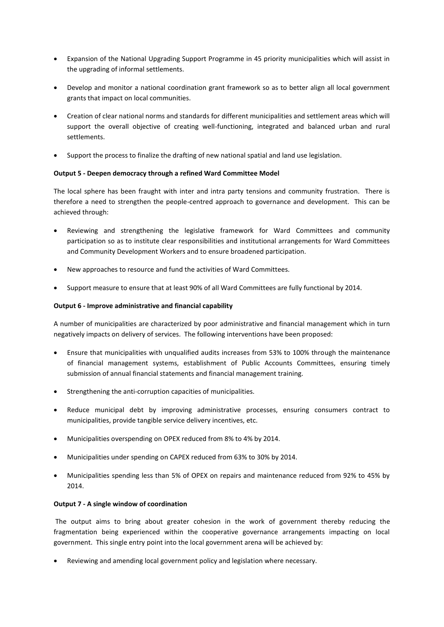- Expansion of the National Upgrading Support Programme in 45 priority municipalities which will assist in the upgrading of informal settlements.
- Develop and monitor a national coordination grant framework so as to better align all local government grants that impact on local communities.
- Creation of clear national norms and standards for different municipalities and settlement areas which will support the overall objective of creating well-functioning, integrated and balanced urban and rural settlements.
- Support the process to finalize the drafting of new national spatial and land use legislation.

#### **Output 5 - Deepen democracy through a refined Ward Committee Model**

The local sphere has been fraught with inter and intra party tensions and community frustration. There is therefore a need to strengthen the people-centred approach to governance and development. This can be achieved through:

- Reviewing and strengthening the legislative framework for Ward Committees and community participation so as to institute clear responsibilities and institutional arrangements for Ward Committees and Community Development Workers and to ensure broadened participation.
- New approaches to resource and fund the activities of Ward Committees.
- Support measure to ensure that at least 90% of all Ward Committees are fully functional by 2014.

#### **Output 6 - Improve administrative and financial capability**

A number of municipalities are characterized by poor administrative and financial management which in turn negatively impacts on delivery of services. The following interventions have been proposed:

- Ensure that municipalities with unqualified audits increases from 53% to 100% through the maintenance of financial management systems, establishment of Public Accounts Committees, ensuring timely submission of annual financial statements and financial management training.
- Strengthening the anti-corruption capacities of municipalities.
- Reduce municipal debt by improving administrative processes, ensuring consumers contract to municipalities, provide tangible service delivery incentives, etc.
- Municipalities overspending on OPEX reduced from 8% to 4% by 2014.
- Municipalities under spending on CAPEX reduced from 63% to 30% by 2014.
- Municipalities spending less than 5% of OPEX on repairs and maintenance reduced from 92% to 45% by 2014.

#### **Output 7 - A single window of coordination**

The output aims to bring about greater cohesion in the work of government thereby reducing the fragmentation being experienced within the cooperative governance arrangements impacting on local government. This single entry point into the local government arena will be achieved by:

Reviewing and amending local government policy and legislation where necessary.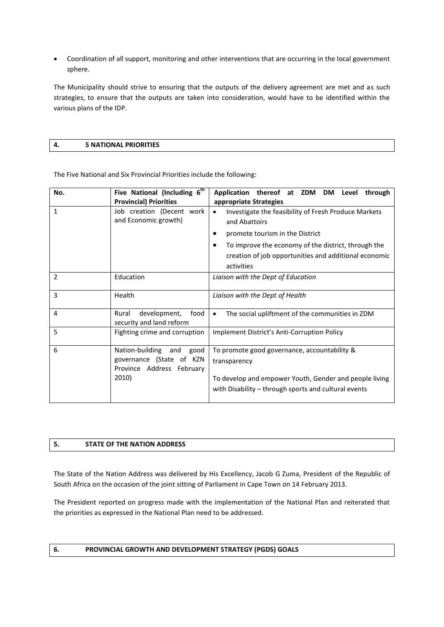Coordination of all support, monitoring and other interventions that are occurring in the local government sphere.

The Municipality should strive to ensuring that the outputs of the delivery agreement are met and as such strategies, to ensure that the outputs are taken into consideration, would have to be identified within the various plans of the IDP.

# **4. 5 NATIONAL PRIORITIES**

The Five National and Six Provincial Priorities include the following:

| No.            | Five National (Including 6 <sup>th</sup><br><b>Provincial) Priorities</b>                        | Application thereof at ZDM<br>DM Level<br>through                                                                                                                                                                                                                             |
|----------------|--------------------------------------------------------------------------------------------------|-------------------------------------------------------------------------------------------------------------------------------------------------------------------------------------------------------------------------------------------------------------------------------|
| $\mathbf{1}$   | Job creation (Decent work<br>and Economic growth)                                                | appropriate Strategies<br>Investigate the feasibility of Fresh Produce Markets<br>$\bullet$<br>and Abattoirs<br>promote tourism in the District<br>To improve the economy of the district, through the<br>creation of job opportunities and additional economic<br>activities |
| $\overline{2}$ | Education                                                                                        | Liaison with the Dept of Education                                                                                                                                                                                                                                            |
| 3              | Health                                                                                           | Liaison with the Dept of Health                                                                                                                                                                                                                                               |
| 4              | development,<br>food<br>Rural<br>security and land reform                                        | The social upliftment of the communities in ZDM<br>$\bullet$                                                                                                                                                                                                                  |
| 5              | Fighting crime and corruption                                                                    | Implement District's Anti-Corruption Policy                                                                                                                                                                                                                                   |
| 6              | Nation-building<br>and<br>good<br>governance (State of KZN<br>Province Address February<br>2010) | To promote good governance, accountability &<br>transparency<br>To develop and empower Youth, Gender and people living<br>with Disability – through sports and cultural events                                                                                                |

# **5. STATE OF THE NATION ADDRESS**

The State of the Nation Address was delivered by His Excellency, Jacob G Zuma, President of the Republic of South Africa on the occasion of the joint sitting of Parliament in Cape Town on 14 February 2013.

The President reported on progress made with the implementation of the National Plan and reiterated that the priorities as expressed in the National Plan need to be addressed.

### **6. PROVINCIAL GROWTH AND DEVELOPMENT STRATEGY (PGDS) GOALS**